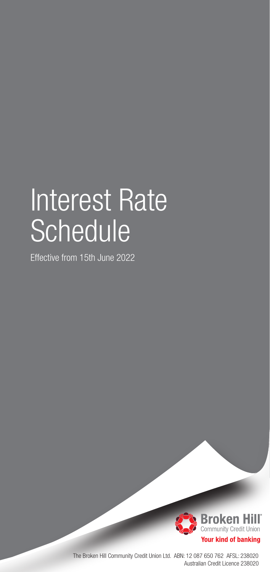# Interest Rate **Schedule**

Effective from 15th June 2022



The Broken Hill Community Credit Union Ltd. ABN: 12 087 650 762 AFSL: 238020 Australian Credit Licence 238020